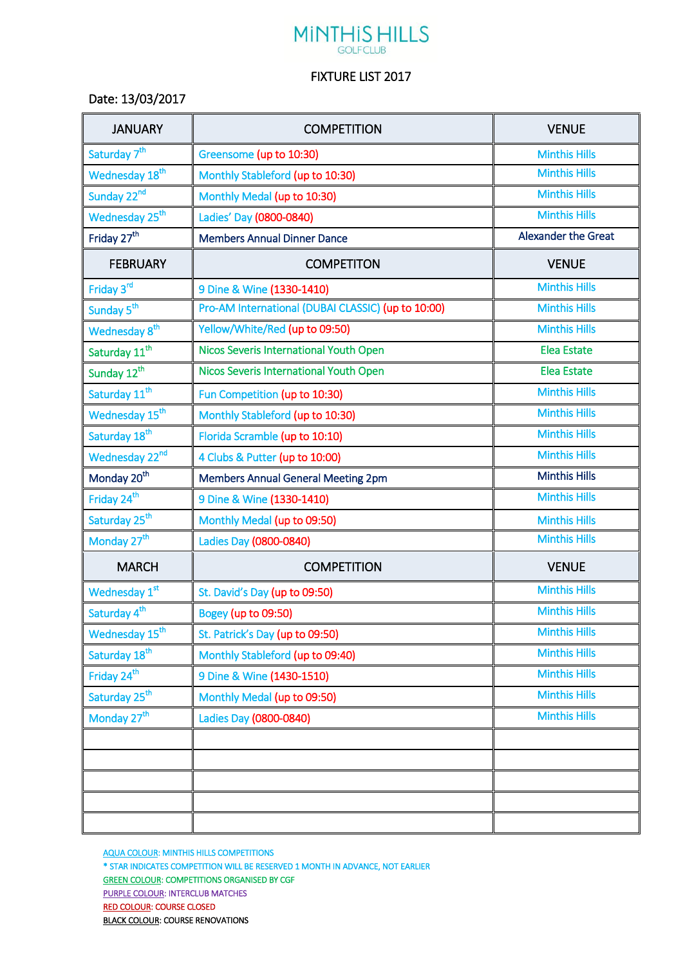## **MINTHIS HILLS**

## FIXTURE LIST 2017

Date: 13/03/2017

| <b>JANUARY</b>             | <b>COMPETITION</b>                                 | <b>VENUE</b>               |
|----------------------------|----------------------------------------------------|----------------------------|
| Saturday 7 <sup>th</sup>   | Greensome (up to 10:30)                            | <b>Minthis Hills</b>       |
| Wednesday 18 <sup>th</sup> | Monthly Stableford (up to 10:30)                   | <b>Minthis Hills</b>       |
| Sunday 22nd                | Monthly Medal (up to 10:30)                        | <b>Minthis Hills</b>       |
| Wednesday 25 <sup>th</sup> | Ladies' Day (0800-0840)                            | <b>Minthis Hills</b>       |
| Friday 27 <sup>th</sup>    | <b>Members Annual Dinner Dance</b>                 | <b>Alexander the Great</b> |
| <b>FEBRUARY</b>            | <b>COMPETITON</b>                                  | <b>VENUE</b>               |
| Friday 3rd                 | 9 Dine & Wine (1330-1410)                          | <b>Minthis Hills</b>       |
| Sunday 5 <sup>th</sup>     | Pro-AM International (DUBAI CLASSIC) (up to 10:00) | <b>Minthis Hills</b>       |
| Wednesday 8 <sup>th</sup>  | Yellow/White/Red (up to 09:50)                     | <b>Minthis Hills</b>       |
| Saturday 11 <sup>th</sup>  | Nicos Severis International Youth Open             | <b>Elea Estate</b>         |
| Sunday 12 <sup>th</sup>    | Nicos Severis International Youth Open             | <b>Elea Estate</b>         |
| Saturday 11 <sup>th</sup>  | Fun Competition (up to 10:30)                      | <b>Minthis Hills</b>       |
| Wednesday 15 <sup>th</sup> | Monthly Stableford (up to 10:30)                   | <b>Minthis Hills</b>       |
| Saturday 18 <sup>th</sup>  | Florida Scramble (up to 10:10)                     | <b>Minthis Hills</b>       |
| Wednesday 22nd             | 4 Clubs & Putter (up to 10:00)                     | <b>Minthis Hills</b>       |
| Monday 20 <sup>th</sup>    | <b>Members Annual General Meeting 2pm</b>          | <b>Minthis Hills</b>       |
| Friday 24 <sup>th</sup>    | 9 Dine & Wine (1330-1410)                          | <b>Minthis Hills</b>       |
| Saturday 25 <sup>th</sup>  | Monthly Medal (up to 09:50)                        | <b>Minthis Hills</b>       |
| Monday 27 <sup>th</sup>    | Ladies Day (0800-0840)                             | <b>Minthis Hills</b>       |
| <b>MARCH</b>               | <b>COMPETITION</b>                                 | <b>VENUE</b>               |
| Wednesday 1st              | St. David's Day (up to 09:50)                      | <b>Minthis Hills</b>       |
| Saturday 4 <sup>th</sup>   | Bogey (up to 09:50)                                | <b>Minthis Hills</b>       |
| Wednesday 15 <sup>th</sup> | St. Patrick's Day (up to 09:50)                    | <b>Minthis Hills</b>       |
| Saturday 18 <sup>th</sup>  | Monthly Stableford (up to 09:40)                   | <b>Minthis Hills</b>       |
| Friday 24 <sup>th</sup>    | 9 Dine & Wine (1430-1510)                          | <b>Minthis Hills</b>       |
| Saturday 25 <sup>th</sup>  | Monthly Medal (up to 09:50)                        | <b>Minthis Hills</b>       |
| Monday 27 <sup>th</sup>    | Ladies Day (0800-0840)                             | <b>Minthis Hills</b>       |
|                            |                                                    |                            |
|                            |                                                    |                            |
|                            |                                                    |                            |
|                            |                                                    |                            |
|                            |                                                    |                            |

AQUA COLOUR: MINTHIS HILLS COMPETITIONS \* STAR INDICATES COMPETITION WILL BE RESERVED 1 MONTH IN ADVANCE, NOT EARLIER GREEN COLOUR: COMPETITIONS ORGANISED BY CGF PURPLE COLOUR: INTERCLUB MATCHES RED COLOUR: COURSE CLOSED **BLACK COLOUR: COURSE RENOVATIONS**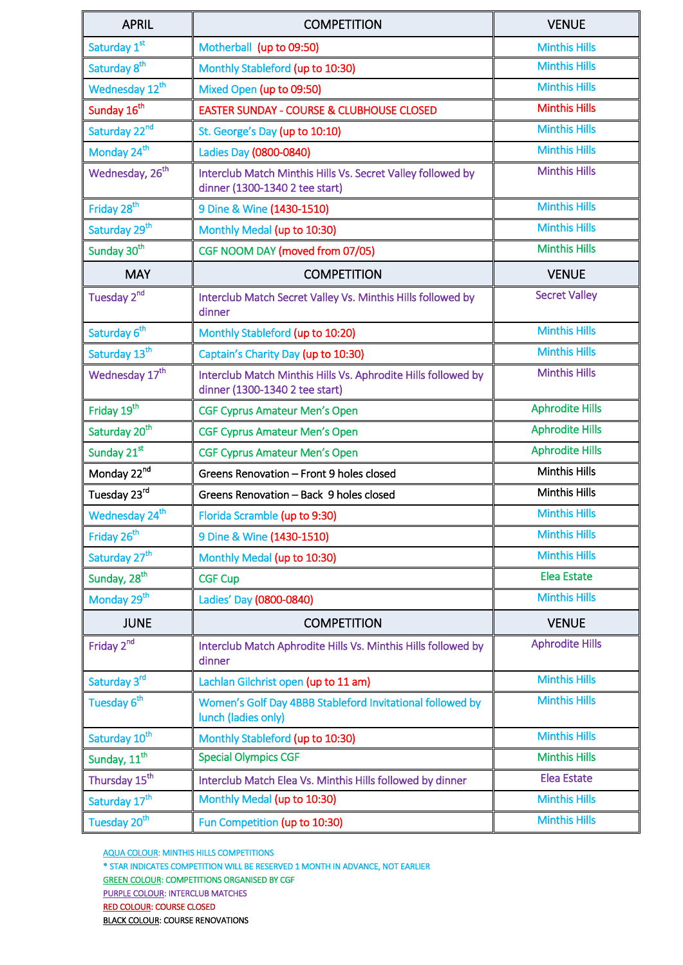| <b>APRIL</b>                | <b>COMPETITION</b>                                                                              | <b>VENUE</b>           |
|-----------------------------|-------------------------------------------------------------------------------------------------|------------------------|
| Saturday 1st                | Motherball (up to 09:50)                                                                        | <b>Minthis Hills</b>   |
| Saturday 8 <sup>th</sup>    | Monthly Stableford (up to 10:30)                                                                | <b>Minthis Hills</b>   |
| Wednesday 12 <sup>th</sup>  | Mixed Open (up to 09:50)                                                                        | <b>Minthis Hills</b>   |
| Sunday 16 <sup>th</sup>     | <b>EASTER SUNDAY - COURSE &amp; CLUBHOUSE CLOSED</b>                                            | <b>Minthis Hills</b>   |
| Saturday 22 <sup>nd</sup>   | St. George's Day (up to 10:10)                                                                  | <b>Minthis Hills</b>   |
| Monday 24 <sup>th</sup>     | Ladies Day (0800-0840)                                                                          | <b>Minthis Hills</b>   |
| Wednesday, 26 <sup>th</sup> | Interclub Match Minthis Hills Vs. Secret Valley followed by<br>dinner (1300-1340 2 tee start)   | <b>Minthis Hills</b>   |
| Friday 28 <sup>th</sup>     | 9 Dine & Wine (1430-1510)                                                                       | <b>Minthis Hills</b>   |
| Saturday 29 <sup>th</sup>   | Monthly Medal (up to 10:30)                                                                     | <b>Minthis Hills</b>   |
| Sunday 30 <sup>th</sup>     | CGF NOOM DAY (moved from 07/05)                                                                 | <b>Minthis Hills</b>   |
| <b>MAY</b>                  | <b>COMPETITION</b>                                                                              | <b>VENUE</b>           |
| Tuesday 2 <sup>nd</sup>     | Interclub Match Secret Valley Vs. Minthis Hills followed by<br>dinner                           | <b>Secret Valley</b>   |
| Saturday 6 <sup>th</sup>    | Monthly Stableford (up to 10:20)                                                                | <b>Minthis Hills</b>   |
| Saturday 13 <sup>th</sup>   | Captain's Charity Day (up to 10:30)                                                             | <b>Minthis Hills</b>   |
| Wednesday 17 <sup>th</sup>  | Interclub Match Minthis Hills Vs. Aphrodite Hills followed by<br>dinner (1300-1340 2 tee start) | <b>Minthis Hills</b>   |
| Friday 19 <sup>th</sup>     | <b>CGF Cyprus Amateur Men's Open</b>                                                            | <b>Aphrodite Hills</b> |
| Saturday 20 <sup>th</sup>   | <b>CGF Cyprus Amateur Men's Open</b>                                                            | <b>Aphrodite Hills</b> |
| Sunday 21st                 | <b>CGF Cyprus Amateur Men's Open</b>                                                            | <b>Aphrodite Hills</b> |
| Monday 22nd                 | Greens Renovation - Front 9 holes closed                                                        | <b>Minthis Hills</b>   |
| Tuesday 23rd                | Greens Renovation - Back 9 holes closed                                                         | <b>Minthis Hills</b>   |
| Wednesday 24 <sup>th</sup>  | Florida Scramble (up to 9:30)                                                                   | <b>Minthis Hills</b>   |
| Friday 26 <sup>th</sup>     | 9 Dine & Wine (1430-1510)                                                                       | <b>Minthis Hills</b>   |
| Saturday 27 <sup>th</sup>   | Monthly Medal (up to 10:30)                                                                     | <b>Minthis Hills</b>   |
| Sunday, 28 <sup>th</sup>    | <b>CGF Cup</b>                                                                                  | <b>Elea Estate</b>     |
| Monday 29 <sup>th</sup>     | Ladies' Day (0800-0840)                                                                         | <b>Minthis Hills</b>   |
| <b>JUNE</b>                 | <b>COMPETITION</b>                                                                              | <b>VENUE</b>           |
| Friday 2 <sup>nd</sup>      | Interclub Match Aphrodite Hills Vs. Minthis Hills followed by<br>dinner                         | <b>Aphrodite Hills</b> |
| Saturday 3rd                | Lachlan Gilchrist open (up to 11 am)                                                            | <b>Minthis Hills</b>   |
| Tuesday 6 <sup>th</sup>     | Women's Golf Day 4BBB Stableford Invitational followed by<br>lunch (ladies only)                | <b>Minthis Hills</b>   |
| Saturday 10 <sup>th</sup>   | Monthly Stableford (up to 10:30)                                                                | <b>Minthis Hills</b>   |
| Sunday, $11^{\text{th}}$    | <b>Special Olympics CGF</b>                                                                     | <b>Minthis Hills</b>   |
| Thursday 15 <sup>th</sup>   | Interclub Match Elea Vs. Minthis Hills followed by dinner                                       | <b>Elea Estate</b>     |
| Saturday 17 <sup>th</sup>   | Monthly Medal (up to 10:30)                                                                     | <b>Minthis Hills</b>   |
| Tuesday 20 <sup>th</sup>    | Fun Competition (up to 10:30)                                                                   | <b>Minthis Hills</b>   |

AQUA COLOUR: MINTHIS HILLS COMPETITIONS

\* STAR INDICATES COMPETITION WILL BE RESERVED 1 MONTH IN ADVANCE, NOT EARLIER

GREEN COLOUR: COMPETITIONS ORGANISED BY CGF

PURPLE COLOUR: INTERCLUB MATCHES

RED COLOUR: COURSE CLOSED

BLACK COLOUR: COURSE RENOVATIONS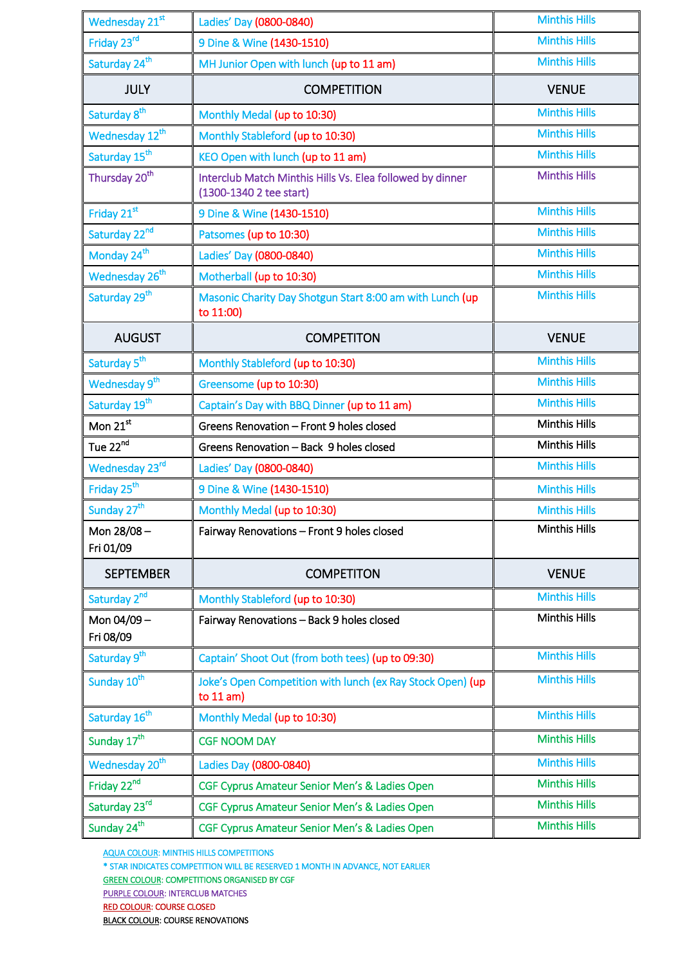| Wednesday 21st             | Ladies' Day (0800-0840)                                                              | <b>Minthis Hills</b> |
|----------------------------|--------------------------------------------------------------------------------------|----------------------|
| Friday 23rd                | 9 Dine & Wine (1430-1510)                                                            | <b>Minthis Hills</b> |
| Saturday 24 <sup>th</sup>  | MH Junior Open with lunch (up to 11 am)                                              | <b>Minthis Hills</b> |
| <b>JULY</b>                | <b>COMPETITION</b>                                                                   | <b>VENUE</b>         |
| Saturday 8 <sup>th</sup>   | Monthly Medal (up to 10:30)                                                          | <b>Minthis Hills</b> |
| Wednesday 12 <sup>th</sup> | Monthly Stableford (up to 10:30)                                                     | <b>Minthis Hills</b> |
| Saturday 15 <sup>th</sup>  | KEO Open with lunch (up to 11 am)                                                    | <b>Minthis Hills</b> |
| Thursday 20 <sup>th</sup>  | Interclub Match Minthis Hills Vs. Elea followed by dinner<br>(1300-1340 2 tee start) | <b>Minthis Hills</b> |
| Friday 21st                | 9 Dine & Wine (1430-1510)                                                            | <b>Minthis Hills</b> |
| Saturday 22nd              | Patsomes (up to 10:30)                                                               | <b>Minthis Hills</b> |
| Monday 24 <sup>th</sup>    | Ladies' Day (0800-0840)                                                              | <b>Minthis Hills</b> |
| Wednesday 26 <sup>th</sup> | Motherball (up to 10:30)                                                             | <b>Minthis Hills</b> |
| Saturday 29 <sup>th</sup>  | Masonic Charity Day Shotgun Start 8:00 am with Lunch (up<br>to 11:00)                | <b>Minthis Hills</b> |
| <b>AUGUST</b>              | <b>COMPETITON</b>                                                                    | <b>VENUE</b>         |
| Saturday 5 <sup>th</sup>   | Monthly Stableford (up to 10:30)                                                     | <b>Minthis Hills</b> |
| Wednesday 9 <sup>th</sup>  | Greensome (up to 10:30)                                                              | <b>Minthis Hills</b> |
| Saturday 19 <sup>th</sup>  | Captain's Day with BBQ Dinner (up to 11 am)                                          | <b>Minthis Hills</b> |
| Mon 21st                   | Greens Renovation - Front 9 holes closed                                             | <b>Minthis Hills</b> |
| Tue 22 <sup>nd</sup>       | Greens Renovation - Back 9 holes closed                                              | <b>Minthis Hills</b> |
| Wednesday 23rd             | Ladies' Day (0800-0840)                                                              | <b>Minthis Hills</b> |
| Friday 25 <sup>th</sup>    | 9 Dine & Wine (1430-1510)                                                            | <b>Minthis Hills</b> |
| Sunday 27 <sup>th</sup>    | Monthly Medal (up to 10:30)                                                          | <b>Minthis Hills</b> |
| Mon 28/08-<br>Fri 01/09    | Fairway Renovations - Front 9 holes closed                                           | <b>Minthis Hills</b> |
| <b>SEPTEMBER</b>           | <b>COMPETITON</b>                                                                    | <b>VENUE</b>         |
| Saturday 2nd               | Monthly Stableford (up to 10:30)                                                     | <b>Minthis Hills</b> |
| Mon 04/09-<br>Fri 08/09    | Fairway Renovations - Back 9 holes closed                                            | <b>Minthis Hills</b> |
| Saturday 9 <sup>th</sup>   | Captain' Shoot Out (from both tees) (up to 09:30)                                    | <b>Minthis Hills</b> |
| Sunday 10 <sup>th</sup>    | Joke's Open Competition with lunch (ex Ray Stock Open) (up<br>to $11 am$ )           | <b>Minthis Hills</b> |
| Saturday 16 <sup>th</sup>  | Monthly Medal (up to 10:30)                                                          | <b>Minthis Hills</b> |
| Sunday 17 <sup>th</sup>    | <b>CGF NOOM DAY</b>                                                                  | <b>Minthis Hills</b> |
| Wednesday 20 <sup>th</sup> | Ladies Day (0800-0840)                                                               | <b>Minthis Hills</b> |
| Friday 22nd                | CGF Cyprus Amateur Senior Men's & Ladies Open                                        | <b>Minthis Hills</b> |
| Saturday 23rd              | CGF Cyprus Amateur Senior Men's & Ladies Open                                        | <b>Minthis Hills</b> |
| Sunday 24 <sup>th</sup>    | CGF Cyprus Amateur Senior Men's & Ladies Open                                        | <b>Minthis Hills</b> |

AQUA COLOUR: MINTHIS HILLS COMPETITIONS

\* STAR INDICATES COMPETITION WILL BE RESERVED 1 MONTH IN ADVANCE, NOT EARLIER

GREEN COLOUR: COMPETITIONS ORGANISED BY CGF

PURPLE COLOUR: INTERCLUB MATCHES

RED COLOUR: COURSE CLOSED

BLACK COLOUR: COURSE RENOVATIONS